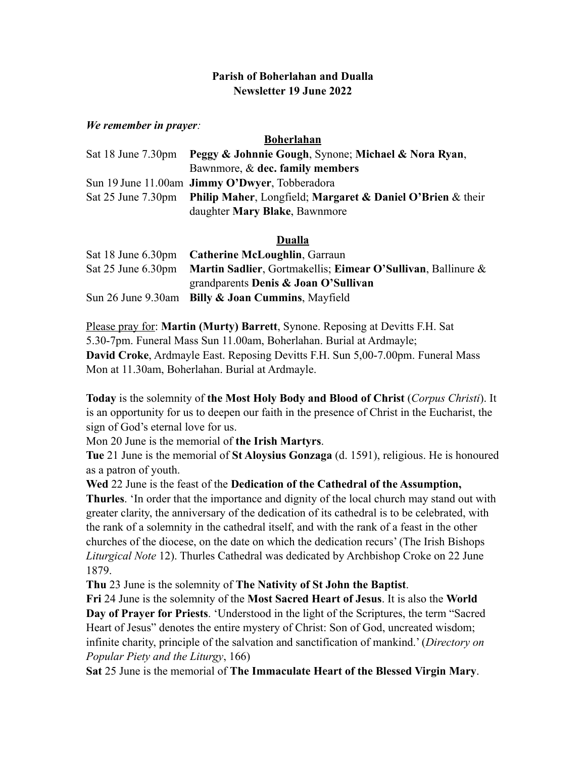# **Parish of Boherlahan and Dualla Newsletter 19 June 2022**

### *We remember in prayer:*

#### **Boherlahan**

| Sat 18 June 7.30pm Peggy & Johnnie Gough, Synone; Michael & Nora Ryan,        |
|-------------------------------------------------------------------------------|
| Bawnmore, $\&$ dec. family members                                            |
| Sun 19 June 11.00am <b>Jimmy O'Dwyer</b> , Tobberadora                        |
| Sat 25 June 7.30pm Philip Maher, Longfield; Margaret & Daniel O'Brien & their |
| daughter Mary Blake, Bawnmore                                                 |

### **Dualla**

| Sat 18 June 6.30pm Catherine McLoughlin, Garraun                                |
|---------------------------------------------------------------------------------|
| Sat 25 June 6.30pm Martin Sadlier, Gortmakellis; Eimear O'Sullivan, Ballinure & |
| grandparents Denis $\&$ Joan O'Sullivan                                         |
| Sun 26 June 9.30am Billy & Joan Cummins, Mayfield                               |

Please pray for: **Martin (Murty) Barrett**, Synone. Reposing at Devitts F.H. Sat 5.30-7pm. Funeral Mass Sun 11.00am, Boherlahan. Burial at Ardmayle; **David Croke**, Ardmayle East. Reposing Devitts F.H. Sun 5,00-7.00pm. Funeral Mass Mon at 11.30am, Boherlahan. Burial at Ardmayle.

**Today** is the solemnity of **the Most Holy Body and Blood of Christ** (*Corpus Christi*). It is an opportunity for us to deepen our faith in the presence of Christ in the Eucharist, the sign of God's eternal love for us.

Mon 20 June is the memorial of **the Irish Martyrs**.

**Tue** 21 June is the memorial of **St Aloysius Gonzaga** (d. 1591), religious. He is honoured as a patron of youth.

**Wed** 22 June is the feast of the **Dedication of the Cathedral of the Assumption,** 

**Thurles**. 'In order that the importance and dignity of the local church may stand out with greater clarity, the anniversary of the dedication of its cathedral is to be celebrated, with the rank of a solemnity in the cathedral itself, and with the rank of a feast in the other churches of the diocese, on the date on which the dedication recurs' (The Irish Bishops *Liturgical Note* 12). Thurles Cathedral was dedicated by Archbishop Croke on 22 June 1879.

**Thu** 23 June is the solemnity of **The Nativity of St John the Baptist**.

**Fri** 24 June is the solemnity of the **Most Sacred Heart of Jesus**. It is also the **World Day of Prayer for Priests**. 'Understood in the light of the Scriptures, the term "Sacred Heart of Jesus" denotes the entire mystery of Christ: Son of God, uncreated wisdom; infinite charity, principle of the salvation and sanctification of mankind.' (*Directory on Popular Piety and the Liturgy*, 166)

**Sat** 25 June is the memorial of **The Immaculate Heart of the Blessed Virgin Mary**.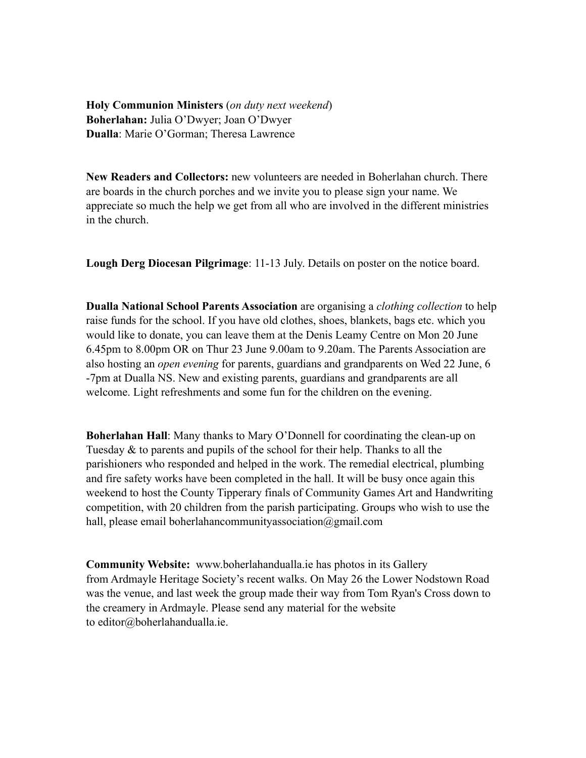**Holy Communion Ministers** (*on duty next weekend*) **Boherlahan:** Julia O'Dwyer; Joan O'Dwyer **Dualla**: Marie O'Gorman; Theresa Lawrence

**New Readers and Collectors:** new volunteers are needed in Boherlahan church. There are boards in the church porches and we invite you to please sign your name. We appreciate so much the help we get from all who are involved in the different ministries in the church.

**Lough Derg Diocesan Pilgrimage**: 11-13 July. Details on poster on the notice board.

**Dualla National School Parents Association** are organising a *clothing collection* to help raise funds for the school. If you have old clothes, shoes, blankets, bags etc. which you would like to donate, you can leave them at the Denis Leamy Centre on Mon 20 June 6.45pm to 8.00pm OR on Thur 23 June 9.00am to 9.20am. The Parents Association are also hosting an *open evening* for parents, guardians and grandparents on Wed 22 June, 6 -7pm at Dualla NS. New and existing parents, guardians and grandparents are all welcome. Light refreshments and some fun for the children on the evening.

**Boherlahan Hall**: Many thanks to Mary O'Donnell for coordinating the clean-up on Tuesday & to parents and pupils of the school for their help. Thanks to all the parishioners who responded and helped in the work. The remedial electrical, plumbing and fire safety works have been completed in the hall. It will be busy once again this weekend to host the County Tipperary finals of Community Games Art and Handwriting competition, with 20 children from the parish participating. Groups who wish to use the hall, please email boherlahancommunityassociation@gmail.com

**Community Website:** www.boherlahandualla.ie has photos in its Gallery from Ardmayle Heritage Society's recent walks. On May 26 the Lower Nodstown Road was the venue, and last week the group made their way from Tom Ryan's Cross down to the creamery in Ardmayle. Please send any material for the website to editor@boherlahandualla.ie.